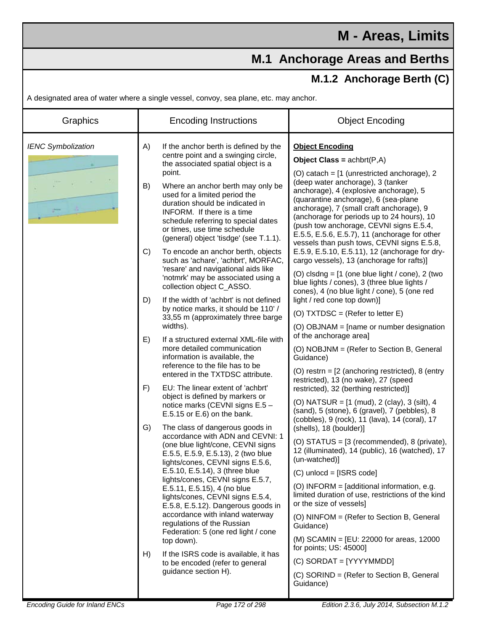## **M.1 Anchorage Areas and Berths**

## **M.1.2 Anchorage Berth (C)**

A designated area of water where a single vessel, convoy, sea plane, etc. may anchor.

| Graphics<br><b>Encoding Instructions</b>                                                                                                                                                                                                                                                                                                                                                                                                                                                                                                                                                                                                                                                                                                                                                                                                                                                                                                                                                                                                                                                                                                                                                                                                                                                                                                                                                                                                                                                                                                                                                                                                                                                                                                                                                                                                                                                                                                                                                                                                                                                                                                                                                                     | <b>Object Encoding</b>                                                                                                                                                                                                                                                                                                                                                                                                                                                                                                                                                                                                                                                                                                                                                                                                                                                                                                                                                                                                                                                                                                                                                                                           |
|--------------------------------------------------------------------------------------------------------------------------------------------------------------------------------------------------------------------------------------------------------------------------------------------------------------------------------------------------------------------------------------------------------------------------------------------------------------------------------------------------------------------------------------------------------------------------------------------------------------------------------------------------------------------------------------------------------------------------------------------------------------------------------------------------------------------------------------------------------------------------------------------------------------------------------------------------------------------------------------------------------------------------------------------------------------------------------------------------------------------------------------------------------------------------------------------------------------------------------------------------------------------------------------------------------------------------------------------------------------------------------------------------------------------------------------------------------------------------------------------------------------------------------------------------------------------------------------------------------------------------------------------------------------------------------------------------------------------------------------------------------------------------------------------------------------------------------------------------------------------------------------------------------------------------------------------------------------------------------------------------------------------------------------------------------------------------------------------------------------------------------------------------------------------------------------------------------------|------------------------------------------------------------------------------------------------------------------------------------------------------------------------------------------------------------------------------------------------------------------------------------------------------------------------------------------------------------------------------------------------------------------------------------------------------------------------------------------------------------------------------------------------------------------------------------------------------------------------------------------------------------------------------------------------------------------------------------------------------------------------------------------------------------------------------------------------------------------------------------------------------------------------------------------------------------------------------------------------------------------------------------------------------------------------------------------------------------------------------------------------------------------------------------------------------------------|
| <b>IENC Symbolization</b><br>A)<br>If the anchor berth is defined by the<br><b>Object Encoding</b><br>centre point and a swinging circle,<br>Object Class = $achbrt(P,A)$<br>the associated spatial object is a<br>point.<br>(deep water anchorage), 3 (tanker<br>B)<br>Where an anchor berth may only be<br>used for a limited period the<br>(quarantine anchorage), 6 (sea-plane<br>duration should be indicated in<br>INFORM. If there is a time<br>schedule referring to special dates<br>or times, use time schedule<br>(general) object 'tisdge' (see T.1.1).<br>To encode an anchor berth, objects<br>C)<br>such as 'achare', 'achbrt', MORFAC,<br>'resare' and navigational aids like<br>'notmrk' may be associated using a<br>collection object C_ASSO.<br>If the width of 'achbrt' is not defined<br>light / red cone top down)]<br>D)<br>by notice marks, it should be 110' /<br>(O) TXTDSC = (Refer to letter $E$ )<br>33,55 m (approximately three barge<br>widths).<br>of the anchorage area]<br>If a structured external XML-file with<br>E)<br>more detailed communication<br>information is available, the<br>Guidance)<br>reference to the file has to be<br>entered in the TXTDSC attribute.<br>restricted), 13 (no wake), 27 (speed<br>EU: The linear extent of 'achbrt'<br>F)<br>restricted), 32 (berthing restricted)]<br>object is defined by markers or<br>notice marks (CEVNI signs E.5 -<br>E.5.15 or E.6) on the bank.<br>G)<br>The class of dangerous goods in<br>(shells), 18 (boulder)]<br>accordance with ADN and CEVNI: 1<br>(one blue light/cone, CEVNI signs<br>E.5.5, E.5.9, E.5.13), 2 (two blue<br>(un-watched)<br>lights/cones, CEVNI signs E.5.6,<br>E.5.10, E.5.14), 3 (three blue<br>$(C)$ unlocd = [ISRS code]<br>lights/cones, CEVNI signs E.5.7,<br>E.5.11, E.5.15), 4 (no blue<br>lights/cones, CEVNI signs E.5.4,<br>or the size of vessels]<br>E.5.8, E.5.12). Dangerous goods in<br>accordance with inland waterway<br>regulations of the Russian<br>Guidance)<br>Federation: 5 (one red light / cone<br>top down).<br>for points; US: 45000]<br>If the ISRS code is available, it has<br>H)<br>$(C)$ SORDAT = [YYYYMMDD]<br>to be encoded (refer to general | (O) catach = [1 (unrestricted anchorage), 2<br>anchorage), 4 (explosive anchorage), 5<br>anchorage), 7 (small craft anchorage), 9<br>(anchorage for periods up to 24 hours), 10<br>(push tow anchorage, CEVNI signs E.5.4,<br>E.5.5, E.5.6, E.5.7), 11 (anchorage for other<br>vessels than push tows, CEVNI signs E.5.8,<br>E.5.9, E.5.10, E.5.11), 12 (anchorage for dry-<br>cargo vessels), 13 (anchorage for rafts)]<br>(O) clsdng = $[1$ (one blue light / cone), 2 (two<br>blue lights / cones), 3 (three blue lights /<br>cones), 4 (no blue light / cone), 5 (one red<br>(O) OBJNAM = [name or number designation<br>(O) NOBJNM = (Refer to Section B, General<br>(O) restrn = $[2$ (anchoring restricted), 8 (entry<br>(O) NATSUR = $[1 \text{ (mud)}, 2 \text{ (clay)}, 3 \text{ (silt)}, 4 \text{)}$<br>(sand), 5 (stone), 6 (gravel), 7 (pebbles), 8<br>(cobbles), 9 (rock), 11 (lava), 14 (coral), 17<br>(O) STATUS = [3 (recommended), 8 (private),<br>12 (illuminated), 14 (public), 16 (watched), 17<br>(O) INFORM = [additional information, e.g.<br>limited duration of use, restrictions of the kind<br>(O) NINFOM = (Refer to Section B, General<br>(M) SCAMIN = [EU: 22000 for areas, 12000 |